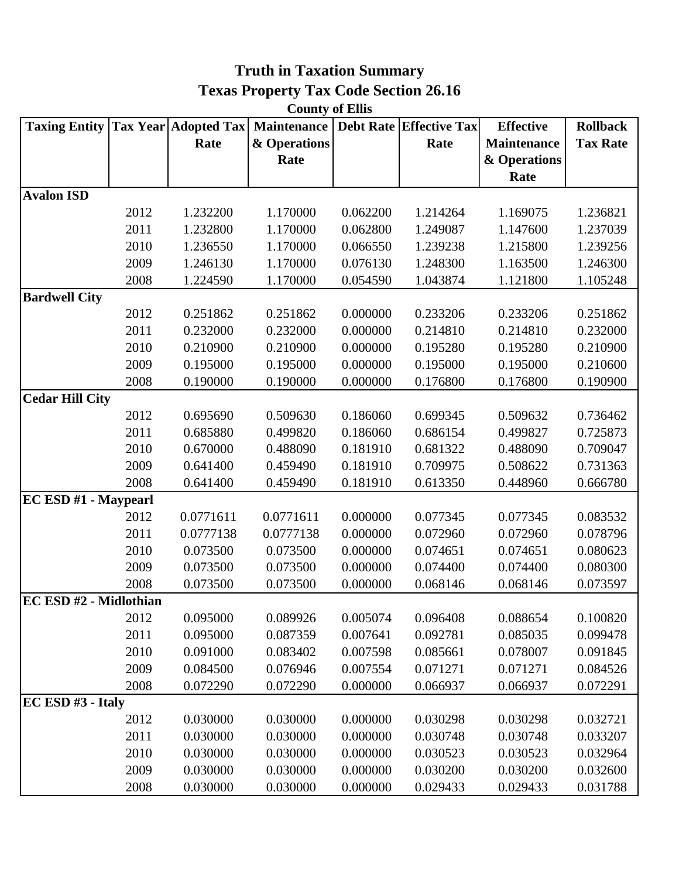| <b>County of Ellis</b> |      |                             |              |          |                                |                    |                 |  |  |
|------------------------|------|-----------------------------|--------------|----------|--------------------------------|--------------------|-----------------|--|--|
| <b>Taxing Entity</b>   |      | <b>Tax Year Adopted Tax</b> | Maintenance  |          | <b>Debt Rate Effective Tax</b> | <b>Effective</b>   | <b>Rollback</b> |  |  |
|                        |      | Rate                        | & Operations |          | Rate                           | <b>Maintenance</b> | <b>Tax Rate</b> |  |  |
|                        |      |                             | Rate         |          |                                | & Operations       |                 |  |  |
|                        |      |                             |              |          |                                | Rate               |                 |  |  |
| <b>Avalon ISD</b>      |      |                             |              |          |                                |                    |                 |  |  |
|                        | 2012 | 1.232200                    | 1.170000     | 0.062200 | 1.214264                       | 1.169075           | 1.236821        |  |  |
|                        | 2011 | 1.232800                    | 1.170000     | 0.062800 | 1.249087                       | 1.147600           | 1.237039        |  |  |
|                        | 2010 | 1.236550                    | 1.170000     | 0.066550 | 1.239238                       | 1.215800           | 1.239256        |  |  |
|                        | 2009 | 1.246130                    | 1.170000     | 0.076130 | 1.248300                       | 1.163500           | 1.246300        |  |  |
|                        | 2008 | 1.224590                    | 1.170000     | 0.054590 | 1.043874                       | 1.121800           | 1.105248        |  |  |
| <b>Bardwell City</b>   |      |                             |              |          |                                |                    |                 |  |  |
|                        | 2012 | 0.251862                    | 0.251862     | 0.000000 | 0.233206                       | 0.233206           | 0.251862        |  |  |
|                        | 2011 | 0.232000                    | 0.232000     | 0.000000 | 0.214810                       | 0.214810           | 0.232000        |  |  |
|                        | 2010 | 0.210900                    | 0.210900     | 0.000000 | 0.195280                       | 0.195280           | 0.210900        |  |  |
|                        | 2009 | 0.195000                    | 0.195000     | 0.000000 | 0.195000                       | 0.195000           | 0.210600        |  |  |
|                        | 2008 | 0.190000                    | 0.190000     | 0.000000 | 0.176800                       | 0.176800           | 0.190900        |  |  |
| <b>Cedar Hill City</b> |      |                             |              |          |                                |                    |                 |  |  |
|                        | 2012 | 0.695690                    | 0.509630     | 0.186060 | 0.699345                       | 0.509632           | 0.736462        |  |  |
|                        | 2011 | 0.685880                    | 0.499820     | 0.186060 | 0.686154                       | 0.499827           | 0.725873        |  |  |
|                        | 2010 | 0.670000                    | 0.488090     | 0.181910 | 0.681322                       | 0.488090           | 0.709047        |  |  |
|                        | 2009 | 0.641400                    | 0.459490     | 0.181910 | 0.709975                       | 0.508622           | 0.731363        |  |  |
|                        | 2008 | 0.641400                    | 0.459490     | 0.181910 | 0.613350                       | 0.448960           | 0.666780        |  |  |
| EC ESD #1 - Maypearl   |      |                             |              |          |                                |                    |                 |  |  |
|                        | 2012 | 0.0771611                   | 0.0771611    | 0.000000 | 0.077345                       | 0.077345           | 0.083532        |  |  |
|                        | 2011 | 0.0777138                   | 0.0777138    | 0.000000 | 0.072960                       | 0.072960           | 0.078796        |  |  |
|                        | 2010 | 0.073500                    | 0.073500     | 0.000000 | 0.074651                       | 0.074651           | 0.080623        |  |  |
|                        | 2009 | 0.073500                    | 0.073500     | 0.000000 | 0.074400                       | 0.074400           | 0.080300        |  |  |
|                        | 2008 | 0.073500                    | 0.073500     | 0.000000 | 0.068146                       | 0.068146           | 0.073597        |  |  |
| EC ESD #2 - Midlothian |      |                             |              |          |                                |                    |                 |  |  |
|                        | 2012 | 0.095000                    | 0.089926     | 0.005074 | 0.096408                       | 0.088654           | 0.100820        |  |  |
|                        | 2011 | 0.095000                    | 0.087359     | 0.007641 | 0.092781                       | 0.085035           | 0.099478        |  |  |
|                        | 2010 | 0.091000                    | 0.083402     | 0.007598 | 0.085661                       | 0.078007           | 0.091845        |  |  |
|                        | 2009 | 0.084500                    | 0.076946     | 0.007554 | 0.071271                       | 0.071271           | 0.084526        |  |  |
|                        | 2008 | 0.072290                    | 0.072290     | 0.000000 | 0.066937                       | 0.066937           | 0.072291        |  |  |
| EC ESD #3 - Italy      |      |                             |              |          |                                |                    |                 |  |  |
|                        | 2012 | 0.030000                    | 0.030000     | 0.000000 | 0.030298                       | 0.030298           | 0.032721        |  |  |
|                        | 2011 | 0.030000                    | 0.030000     | 0.000000 | 0.030748                       | 0.030748           | 0.033207        |  |  |
|                        | 2010 | 0.030000                    | 0.030000     | 0.000000 | 0.030523                       | 0.030523           | 0.032964        |  |  |
|                        | 2009 | 0.030000                    | 0.030000     | 0.000000 | 0.030200                       | 0.030200           | 0.032600        |  |  |
|                        | 2008 | 0.030000                    | 0.030000     | 0.000000 | 0.029433                       | 0.029433           | 0.031788        |  |  |

## **Texas Property Tax Code Section 26.16 Truth in Taxation Summary**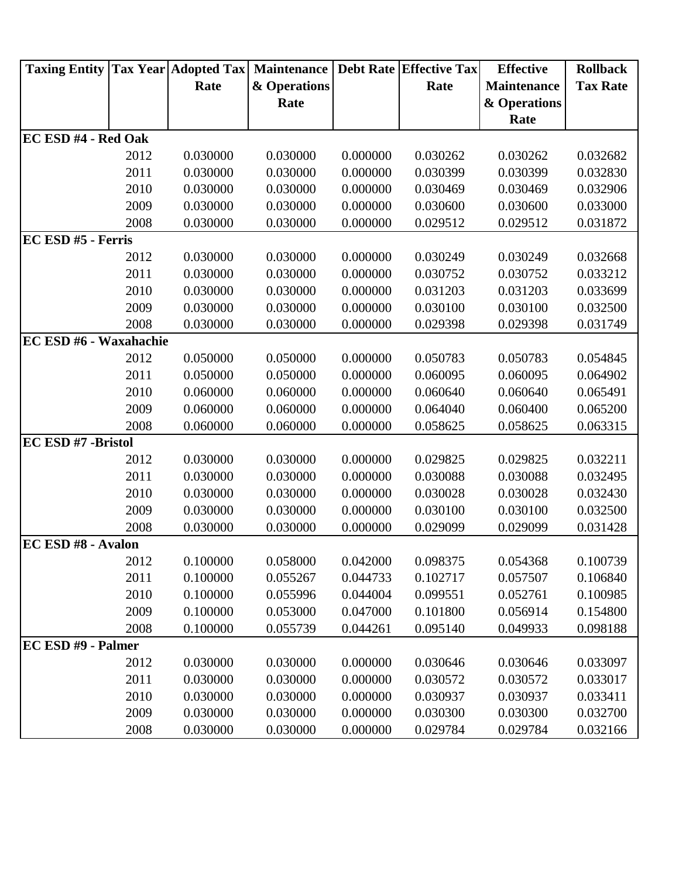| <b>Taxing Entity</b>       |      | <b>Tax Year Adopted Tax</b> | <b>Maintenance</b> |          | <b>Debt Rate Effective Tax</b> | <b>Effective</b>   | <b>Rollback</b> |
|----------------------------|------|-----------------------------|--------------------|----------|--------------------------------|--------------------|-----------------|
|                            |      | Rate                        | & Operations       |          | Rate                           | <b>Maintenance</b> | <b>Tax Rate</b> |
|                            |      |                             | Rate               |          |                                | & Operations       |                 |
|                            |      |                             |                    |          |                                | Rate               |                 |
| <b>EC ESD #4 - Red Oak</b> |      |                             |                    |          |                                |                    |                 |
|                            | 2012 | 0.030000                    | 0.030000           | 0.000000 | 0.030262                       | 0.030262           | 0.032682        |
|                            | 2011 | 0.030000                    | 0.030000           | 0.000000 | 0.030399                       | 0.030399           | 0.032830        |
|                            | 2010 | 0.030000                    | 0.030000           | 0.000000 | 0.030469                       | 0.030469           | 0.032906        |
|                            | 2009 | 0.030000                    | 0.030000           | 0.000000 | 0.030600                       | 0.030600           | 0.033000        |
|                            | 2008 | 0.030000                    | 0.030000           | 0.000000 | 0.029512                       | 0.029512           | 0.031872        |
| EC ESD #5 - Ferris         |      |                             |                    |          |                                |                    |                 |
|                            | 2012 | 0.030000                    | 0.030000           | 0.000000 | 0.030249                       | 0.030249           | 0.032668        |
|                            | 2011 | 0.030000                    | 0.030000           | 0.000000 | 0.030752                       | 0.030752           | 0.033212        |
|                            | 2010 | 0.030000                    | 0.030000           | 0.000000 | 0.031203                       | 0.031203           | 0.033699        |
|                            | 2009 | 0.030000                    | 0.030000           | 0.000000 | 0.030100                       | 0.030100           | 0.032500        |
|                            | 2008 | 0.030000                    | 0.030000           | 0.000000 | 0.029398                       | 0.029398           | 0.031749        |
| EC ESD #6 - Waxahachie     |      |                             |                    |          |                                |                    |                 |
|                            | 2012 | 0.050000                    | 0.050000           | 0.000000 | 0.050783                       | 0.050783           | 0.054845        |
|                            | 2011 | 0.050000                    | 0.050000           | 0.000000 | 0.060095                       | 0.060095           | 0.064902        |
|                            | 2010 | 0.060000                    | 0.060000           | 0.000000 | 0.060640                       | 0.060640           | 0.065491        |
|                            | 2009 | 0.060000                    | 0.060000           | 0.000000 | 0.064040                       | 0.060400           | 0.065200        |
|                            | 2008 | 0.060000                    | 0.060000           | 0.000000 | 0.058625                       | 0.058625           | 0.063315        |
| EC ESD #7 -Bristol         |      |                             |                    |          |                                |                    |                 |
|                            | 2012 | 0.030000                    | 0.030000           | 0.000000 | 0.029825                       | 0.029825           | 0.032211        |
|                            | 2011 | 0.030000                    | 0.030000           | 0.000000 | 0.030088                       | 0.030088           | 0.032495        |
|                            | 2010 | 0.030000                    | 0.030000           | 0.000000 | 0.030028                       | 0.030028           | 0.032430        |
|                            | 2009 | 0.030000                    | 0.030000           | 0.000000 | 0.030100                       | 0.030100           | 0.032500        |
|                            | 2008 | 0.030000                    | 0.030000           | 0.000000 | 0.029099                       | 0.029099           | 0.031428        |
| <b>EC ESD #8 - Avalon</b>  |      |                             |                    |          |                                |                    |                 |
|                            | 2012 | 0.100000                    | 0.058000           | 0.042000 | 0.098375                       | 0.054368           | 0.100739        |
|                            | 2011 | 0.100000                    | 0.055267           | 0.044733 | 0.102717                       | 0.057507           | 0.106840        |
|                            | 2010 | 0.100000                    | 0.055996           | 0.044004 | 0.099551                       | 0.052761           | 0.100985        |
|                            | 2009 | 0.100000                    | 0.053000           | 0.047000 | 0.101800                       | 0.056914           | 0.154800        |
|                            | 2008 | 0.100000                    | 0.055739           | 0.044261 | 0.095140                       | 0.049933           | 0.098188        |
| EC ESD #9 - Palmer         |      |                             |                    |          |                                |                    |                 |
|                            | 2012 | 0.030000                    | 0.030000           | 0.000000 | 0.030646                       | 0.030646           | 0.033097        |
|                            | 2011 | 0.030000                    | 0.030000           | 0.000000 | 0.030572                       | 0.030572           | 0.033017        |
|                            | 2010 | 0.030000                    | 0.030000           | 0.000000 | 0.030937                       | 0.030937           | 0.033411        |
|                            | 2009 | 0.030000                    | 0.030000           | 0.000000 | 0.030300                       | 0.030300           | 0.032700        |
|                            | 2008 | 0.030000                    | 0.030000           | 0.000000 | 0.029784                       | 0.029784           | 0.032166        |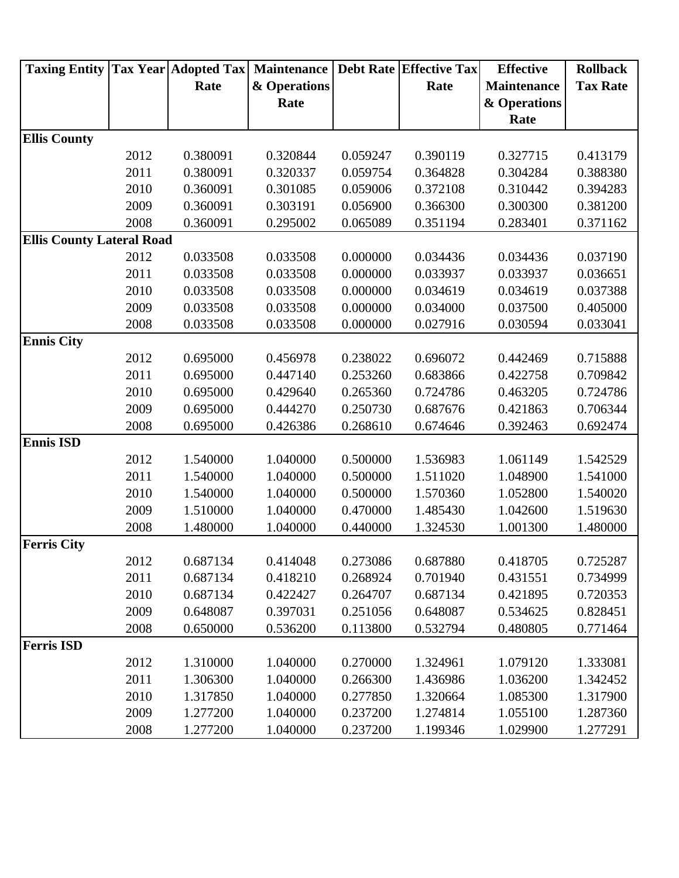| & Operations<br><b>Maintenance</b><br>Rate<br>Rate<br>Rate<br>& Operations<br>Rate<br><b>Ellis County</b><br>2012<br>0.327715<br>0.380091<br>0.320844<br>0.059247<br>0.390119<br>2011<br>0.380091<br>0.304284<br>0.320337<br>0.059754<br>0.364828<br>2010<br>0.360091<br>0.301085<br>0.059006<br>0.372108<br>0.310442<br>2009<br>0.360091<br>0.303191<br>0.056900<br>0.366300<br>0.300300<br>0.381200<br>2008<br>0.360091<br>0.065089<br>0.351194<br>0.371162<br>0.295002<br>0.283401<br><b>Ellis County Lateral Road</b><br>2012<br>0.033508<br>0.000000<br>0.037190<br>0.033508<br>0.034436<br>0.034436<br>2011<br>0.000000<br>0.036651<br>0.033508<br>0.033508<br>0.033937<br>0.033937<br>2010<br>0.033508<br>0.033508<br>0.000000<br>0.034619<br>0.037388<br>0.034619<br>2009<br>0.033508<br>0.033508<br>0.000000<br>0.034000<br>0.037500<br>0.405000<br>2008<br>0.033508<br>0.033508<br>0.000000<br>0.033041<br>0.027916<br>0.030594<br><b>Ennis City</b><br>2012<br>0.695000<br>0.456978<br>0.696072<br>0.715888<br>0.238022<br>0.442469<br>2011<br>0.447140<br>0.253260<br>0.683866<br>0.695000<br>0.422758<br>2010<br>0.695000<br>0.429640<br>0.265360<br>0.724786<br>0.463205<br>2009<br>0.250730<br>0.695000<br>0.444270<br>0.687676<br>0.421863<br>2008<br>0.695000<br>0.268610<br>0.426386<br>0.674646<br>0.392463<br><b>Ennis ISD</b><br>2012<br>1.540000<br>1.040000<br>0.500000<br>1.536983<br>1.061149<br>2011<br>0.500000<br>1.540000<br>1.040000<br>1.511020<br>1.048900<br>2010<br>1.040000<br>0.500000<br>1.052800<br>1.540000<br>1.570360<br>2009<br>1.510000<br>1.040000<br>0.470000<br>1.485430<br>1.042600<br>2008<br>0.440000<br>1.480000<br>1.040000<br>1.324530<br>1.001300<br>2012<br>0.687134<br>0.414048<br>0.273086<br>0.687880<br>0.418705<br>2011<br>0.687134<br>0.418210<br>0.268924<br>0.701940<br>0.431551<br>2010<br>0.687134<br>0.422427<br>0.264707<br>0.687134<br>0.421895<br>2009<br>0.251056<br>0.648087<br>0.397031<br>0.648087<br>0.534625<br>2008<br>0.650000<br>0.536200<br>0.113800<br>0.532794<br>0.480805<br><b>Ferris ISD</b><br>2012<br>1.310000<br>1.040000<br>0.270000<br>1.079120<br>1.324961<br>1.306300<br>0.266300<br>1.040000<br>1.436986 | <b>Taxing Entity</b> |      | <b>Tax Year Adopted Tax</b> | <b>Maintenance</b> | <b>Debt Rate Effective Tax</b> | <b>Effective</b> | <b>Rollback</b> |
|-----------------------------------------------------------------------------------------------------------------------------------------------------------------------------------------------------------------------------------------------------------------------------------------------------------------------------------------------------------------------------------------------------------------------------------------------------------------------------------------------------------------------------------------------------------------------------------------------------------------------------------------------------------------------------------------------------------------------------------------------------------------------------------------------------------------------------------------------------------------------------------------------------------------------------------------------------------------------------------------------------------------------------------------------------------------------------------------------------------------------------------------------------------------------------------------------------------------------------------------------------------------------------------------------------------------------------------------------------------------------------------------------------------------------------------------------------------------------------------------------------------------------------------------------------------------------------------------------------------------------------------------------------------------------------------------------------------------------------------------------------------------------------------------------------------------------------------------------------------------------------------------------------------------------------------------------------------------------------------------------------------------------------------------------------------------------------------------------------------------------------------------------------------------------------------------------------|----------------------|------|-----------------------------|--------------------|--------------------------------|------------------|-----------------|
| <b>Ferris City</b>                                                                                                                                                                                                                                                                                                                                                                                                                                                                                                                                                                                                                                                                                                                                                                                                                                                                                                                                                                                                                                                                                                                                                                                                                                                                                                                                                                                                                                                                                                                                                                                                                                                                                                                                                                                                                                                                                                                                                                                                                                                                                                                                                                                  |                      |      |                             |                    |                                |                  | <b>Tax Rate</b> |
|                                                                                                                                                                                                                                                                                                                                                                                                                                                                                                                                                                                                                                                                                                                                                                                                                                                                                                                                                                                                                                                                                                                                                                                                                                                                                                                                                                                                                                                                                                                                                                                                                                                                                                                                                                                                                                                                                                                                                                                                                                                                                                                                                                                                     |                      |      |                             |                    |                                |                  |                 |
|                                                                                                                                                                                                                                                                                                                                                                                                                                                                                                                                                                                                                                                                                                                                                                                                                                                                                                                                                                                                                                                                                                                                                                                                                                                                                                                                                                                                                                                                                                                                                                                                                                                                                                                                                                                                                                                                                                                                                                                                                                                                                                                                                                                                     |                      |      |                             |                    |                                |                  |                 |
|                                                                                                                                                                                                                                                                                                                                                                                                                                                                                                                                                                                                                                                                                                                                                                                                                                                                                                                                                                                                                                                                                                                                                                                                                                                                                                                                                                                                                                                                                                                                                                                                                                                                                                                                                                                                                                                                                                                                                                                                                                                                                                                                                                                                     |                      |      |                             |                    |                                |                  |                 |
|                                                                                                                                                                                                                                                                                                                                                                                                                                                                                                                                                                                                                                                                                                                                                                                                                                                                                                                                                                                                                                                                                                                                                                                                                                                                                                                                                                                                                                                                                                                                                                                                                                                                                                                                                                                                                                                                                                                                                                                                                                                                                                                                                                                                     |                      |      |                             |                    |                                |                  | 0.413179        |
|                                                                                                                                                                                                                                                                                                                                                                                                                                                                                                                                                                                                                                                                                                                                                                                                                                                                                                                                                                                                                                                                                                                                                                                                                                                                                                                                                                                                                                                                                                                                                                                                                                                                                                                                                                                                                                                                                                                                                                                                                                                                                                                                                                                                     |                      |      |                             |                    |                                |                  | 0.388380        |
|                                                                                                                                                                                                                                                                                                                                                                                                                                                                                                                                                                                                                                                                                                                                                                                                                                                                                                                                                                                                                                                                                                                                                                                                                                                                                                                                                                                                                                                                                                                                                                                                                                                                                                                                                                                                                                                                                                                                                                                                                                                                                                                                                                                                     |                      |      |                             |                    |                                |                  | 0.394283        |
|                                                                                                                                                                                                                                                                                                                                                                                                                                                                                                                                                                                                                                                                                                                                                                                                                                                                                                                                                                                                                                                                                                                                                                                                                                                                                                                                                                                                                                                                                                                                                                                                                                                                                                                                                                                                                                                                                                                                                                                                                                                                                                                                                                                                     |                      |      |                             |                    |                                |                  |                 |
|                                                                                                                                                                                                                                                                                                                                                                                                                                                                                                                                                                                                                                                                                                                                                                                                                                                                                                                                                                                                                                                                                                                                                                                                                                                                                                                                                                                                                                                                                                                                                                                                                                                                                                                                                                                                                                                                                                                                                                                                                                                                                                                                                                                                     |                      |      |                             |                    |                                |                  |                 |
|                                                                                                                                                                                                                                                                                                                                                                                                                                                                                                                                                                                                                                                                                                                                                                                                                                                                                                                                                                                                                                                                                                                                                                                                                                                                                                                                                                                                                                                                                                                                                                                                                                                                                                                                                                                                                                                                                                                                                                                                                                                                                                                                                                                                     |                      |      |                             |                    |                                |                  |                 |
|                                                                                                                                                                                                                                                                                                                                                                                                                                                                                                                                                                                                                                                                                                                                                                                                                                                                                                                                                                                                                                                                                                                                                                                                                                                                                                                                                                                                                                                                                                                                                                                                                                                                                                                                                                                                                                                                                                                                                                                                                                                                                                                                                                                                     |                      |      |                             |                    |                                |                  |                 |
|                                                                                                                                                                                                                                                                                                                                                                                                                                                                                                                                                                                                                                                                                                                                                                                                                                                                                                                                                                                                                                                                                                                                                                                                                                                                                                                                                                                                                                                                                                                                                                                                                                                                                                                                                                                                                                                                                                                                                                                                                                                                                                                                                                                                     |                      |      |                             |                    |                                |                  |                 |
|                                                                                                                                                                                                                                                                                                                                                                                                                                                                                                                                                                                                                                                                                                                                                                                                                                                                                                                                                                                                                                                                                                                                                                                                                                                                                                                                                                                                                                                                                                                                                                                                                                                                                                                                                                                                                                                                                                                                                                                                                                                                                                                                                                                                     |                      |      |                             |                    |                                |                  |                 |
|                                                                                                                                                                                                                                                                                                                                                                                                                                                                                                                                                                                                                                                                                                                                                                                                                                                                                                                                                                                                                                                                                                                                                                                                                                                                                                                                                                                                                                                                                                                                                                                                                                                                                                                                                                                                                                                                                                                                                                                                                                                                                                                                                                                                     |                      |      |                             |                    |                                |                  |                 |
|                                                                                                                                                                                                                                                                                                                                                                                                                                                                                                                                                                                                                                                                                                                                                                                                                                                                                                                                                                                                                                                                                                                                                                                                                                                                                                                                                                                                                                                                                                                                                                                                                                                                                                                                                                                                                                                                                                                                                                                                                                                                                                                                                                                                     |                      |      |                             |                    |                                |                  |                 |
|                                                                                                                                                                                                                                                                                                                                                                                                                                                                                                                                                                                                                                                                                                                                                                                                                                                                                                                                                                                                                                                                                                                                                                                                                                                                                                                                                                                                                                                                                                                                                                                                                                                                                                                                                                                                                                                                                                                                                                                                                                                                                                                                                                                                     |                      |      |                             |                    |                                |                  |                 |
|                                                                                                                                                                                                                                                                                                                                                                                                                                                                                                                                                                                                                                                                                                                                                                                                                                                                                                                                                                                                                                                                                                                                                                                                                                                                                                                                                                                                                                                                                                                                                                                                                                                                                                                                                                                                                                                                                                                                                                                                                                                                                                                                                                                                     |                      |      |                             |                    |                                |                  |                 |
|                                                                                                                                                                                                                                                                                                                                                                                                                                                                                                                                                                                                                                                                                                                                                                                                                                                                                                                                                                                                                                                                                                                                                                                                                                                                                                                                                                                                                                                                                                                                                                                                                                                                                                                                                                                                                                                                                                                                                                                                                                                                                                                                                                                                     |                      |      |                             |                    |                                |                  |                 |
|                                                                                                                                                                                                                                                                                                                                                                                                                                                                                                                                                                                                                                                                                                                                                                                                                                                                                                                                                                                                                                                                                                                                                                                                                                                                                                                                                                                                                                                                                                                                                                                                                                                                                                                                                                                                                                                                                                                                                                                                                                                                                                                                                                                                     |                      |      |                             |                    |                                |                  | 0.709842        |
|                                                                                                                                                                                                                                                                                                                                                                                                                                                                                                                                                                                                                                                                                                                                                                                                                                                                                                                                                                                                                                                                                                                                                                                                                                                                                                                                                                                                                                                                                                                                                                                                                                                                                                                                                                                                                                                                                                                                                                                                                                                                                                                                                                                                     |                      |      |                             |                    |                                |                  | 0.724786        |
|                                                                                                                                                                                                                                                                                                                                                                                                                                                                                                                                                                                                                                                                                                                                                                                                                                                                                                                                                                                                                                                                                                                                                                                                                                                                                                                                                                                                                                                                                                                                                                                                                                                                                                                                                                                                                                                                                                                                                                                                                                                                                                                                                                                                     |                      |      |                             |                    |                                |                  | 0.706344        |
|                                                                                                                                                                                                                                                                                                                                                                                                                                                                                                                                                                                                                                                                                                                                                                                                                                                                                                                                                                                                                                                                                                                                                                                                                                                                                                                                                                                                                                                                                                                                                                                                                                                                                                                                                                                                                                                                                                                                                                                                                                                                                                                                                                                                     |                      |      |                             |                    |                                |                  | 0.692474        |
|                                                                                                                                                                                                                                                                                                                                                                                                                                                                                                                                                                                                                                                                                                                                                                                                                                                                                                                                                                                                                                                                                                                                                                                                                                                                                                                                                                                                                                                                                                                                                                                                                                                                                                                                                                                                                                                                                                                                                                                                                                                                                                                                                                                                     |                      |      |                             |                    |                                |                  |                 |
|                                                                                                                                                                                                                                                                                                                                                                                                                                                                                                                                                                                                                                                                                                                                                                                                                                                                                                                                                                                                                                                                                                                                                                                                                                                                                                                                                                                                                                                                                                                                                                                                                                                                                                                                                                                                                                                                                                                                                                                                                                                                                                                                                                                                     |                      |      |                             |                    |                                |                  | 1.542529        |
|                                                                                                                                                                                                                                                                                                                                                                                                                                                                                                                                                                                                                                                                                                                                                                                                                                                                                                                                                                                                                                                                                                                                                                                                                                                                                                                                                                                                                                                                                                                                                                                                                                                                                                                                                                                                                                                                                                                                                                                                                                                                                                                                                                                                     |                      |      |                             |                    |                                |                  | 1.541000        |
|                                                                                                                                                                                                                                                                                                                                                                                                                                                                                                                                                                                                                                                                                                                                                                                                                                                                                                                                                                                                                                                                                                                                                                                                                                                                                                                                                                                                                                                                                                                                                                                                                                                                                                                                                                                                                                                                                                                                                                                                                                                                                                                                                                                                     |                      |      |                             |                    |                                |                  | 1.540020        |
|                                                                                                                                                                                                                                                                                                                                                                                                                                                                                                                                                                                                                                                                                                                                                                                                                                                                                                                                                                                                                                                                                                                                                                                                                                                                                                                                                                                                                                                                                                                                                                                                                                                                                                                                                                                                                                                                                                                                                                                                                                                                                                                                                                                                     |                      |      |                             |                    |                                |                  | 1.519630        |
|                                                                                                                                                                                                                                                                                                                                                                                                                                                                                                                                                                                                                                                                                                                                                                                                                                                                                                                                                                                                                                                                                                                                                                                                                                                                                                                                                                                                                                                                                                                                                                                                                                                                                                                                                                                                                                                                                                                                                                                                                                                                                                                                                                                                     |                      |      |                             |                    |                                |                  | 1.480000        |
|                                                                                                                                                                                                                                                                                                                                                                                                                                                                                                                                                                                                                                                                                                                                                                                                                                                                                                                                                                                                                                                                                                                                                                                                                                                                                                                                                                                                                                                                                                                                                                                                                                                                                                                                                                                                                                                                                                                                                                                                                                                                                                                                                                                                     |                      |      |                             |                    |                                |                  |                 |
|                                                                                                                                                                                                                                                                                                                                                                                                                                                                                                                                                                                                                                                                                                                                                                                                                                                                                                                                                                                                                                                                                                                                                                                                                                                                                                                                                                                                                                                                                                                                                                                                                                                                                                                                                                                                                                                                                                                                                                                                                                                                                                                                                                                                     |                      |      |                             |                    |                                |                  | 0.725287        |
|                                                                                                                                                                                                                                                                                                                                                                                                                                                                                                                                                                                                                                                                                                                                                                                                                                                                                                                                                                                                                                                                                                                                                                                                                                                                                                                                                                                                                                                                                                                                                                                                                                                                                                                                                                                                                                                                                                                                                                                                                                                                                                                                                                                                     |                      |      |                             |                    |                                |                  | 0.734999        |
|                                                                                                                                                                                                                                                                                                                                                                                                                                                                                                                                                                                                                                                                                                                                                                                                                                                                                                                                                                                                                                                                                                                                                                                                                                                                                                                                                                                                                                                                                                                                                                                                                                                                                                                                                                                                                                                                                                                                                                                                                                                                                                                                                                                                     |                      |      |                             |                    |                                |                  | 0.720353        |
|                                                                                                                                                                                                                                                                                                                                                                                                                                                                                                                                                                                                                                                                                                                                                                                                                                                                                                                                                                                                                                                                                                                                                                                                                                                                                                                                                                                                                                                                                                                                                                                                                                                                                                                                                                                                                                                                                                                                                                                                                                                                                                                                                                                                     |                      |      |                             |                    |                                |                  | 0.828451        |
|                                                                                                                                                                                                                                                                                                                                                                                                                                                                                                                                                                                                                                                                                                                                                                                                                                                                                                                                                                                                                                                                                                                                                                                                                                                                                                                                                                                                                                                                                                                                                                                                                                                                                                                                                                                                                                                                                                                                                                                                                                                                                                                                                                                                     |                      |      |                             |                    |                                |                  | 0.771464        |
|                                                                                                                                                                                                                                                                                                                                                                                                                                                                                                                                                                                                                                                                                                                                                                                                                                                                                                                                                                                                                                                                                                                                                                                                                                                                                                                                                                                                                                                                                                                                                                                                                                                                                                                                                                                                                                                                                                                                                                                                                                                                                                                                                                                                     |                      |      |                             |                    |                                |                  |                 |
|                                                                                                                                                                                                                                                                                                                                                                                                                                                                                                                                                                                                                                                                                                                                                                                                                                                                                                                                                                                                                                                                                                                                                                                                                                                                                                                                                                                                                                                                                                                                                                                                                                                                                                                                                                                                                                                                                                                                                                                                                                                                                                                                                                                                     |                      |      |                             |                    |                                |                  | 1.333081        |
|                                                                                                                                                                                                                                                                                                                                                                                                                                                                                                                                                                                                                                                                                                                                                                                                                                                                                                                                                                                                                                                                                                                                                                                                                                                                                                                                                                                                                                                                                                                                                                                                                                                                                                                                                                                                                                                                                                                                                                                                                                                                                                                                                                                                     |                      | 2011 |                             |                    |                                | 1.036200         | 1.342452        |
| 2010<br>1.317850<br>1.040000<br>0.277850<br>1.320664<br>1.085300                                                                                                                                                                                                                                                                                                                                                                                                                                                                                                                                                                                                                                                                                                                                                                                                                                                                                                                                                                                                                                                                                                                                                                                                                                                                                                                                                                                                                                                                                                                                                                                                                                                                                                                                                                                                                                                                                                                                                                                                                                                                                                                                    |                      |      |                             |                    |                                |                  | 1.317900        |
| 2009<br>1.040000<br>0.237200<br>1.274814<br>1.055100<br>1.277200                                                                                                                                                                                                                                                                                                                                                                                                                                                                                                                                                                                                                                                                                                                                                                                                                                                                                                                                                                                                                                                                                                                                                                                                                                                                                                                                                                                                                                                                                                                                                                                                                                                                                                                                                                                                                                                                                                                                                                                                                                                                                                                                    |                      |      |                             |                    |                                |                  | 1.287360        |
| 2008<br>1.277200<br>1.040000<br>0.237200<br>1.029900<br>1.199346                                                                                                                                                                                                                                                                                                                                                                                                                                                                                                                                                                                                                                                                                                                                                                                                                                                                                                                                                                                                                                                                                                                                                                                                                                                                                                                                                                                                                                                                                                                                                                                                                                                                                                                                                                                                                                                                                                                                                                                                                                                                                                                                    |                      |      |                             |                    |                                |                  | 1.277291        |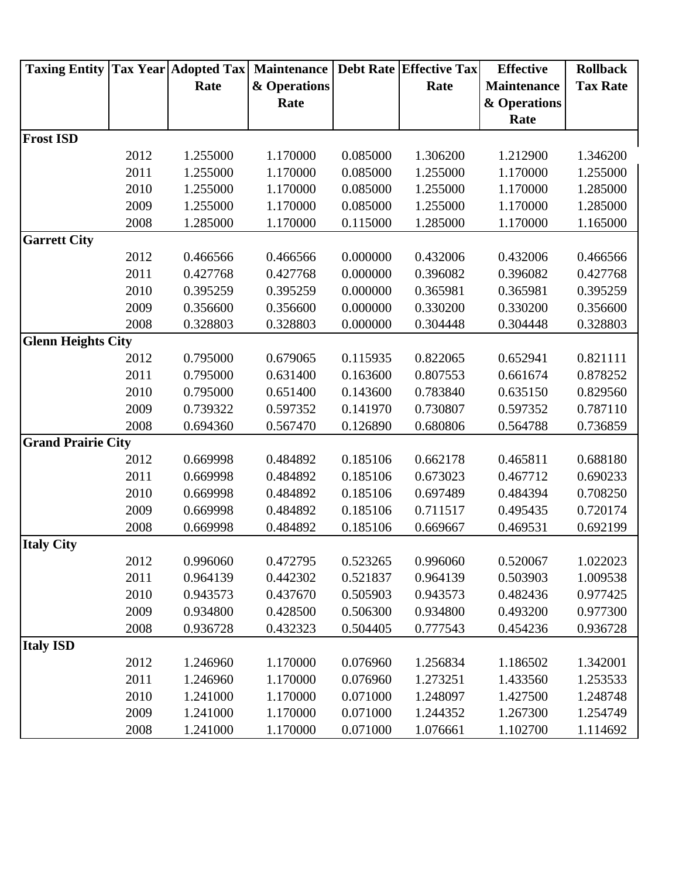| <b>Taxing Entity</b>      |      |          | <b>Tax Year Adopted Tax Maintenance</b> |          | <b>Debt Rate Effective Tax</b> | <b>Effective</b>   | <b>Rollback</b> |
|---------------------------|------|----------|-----------------------------------------|----------|--------------------------------|--------------------|-----------------|
|                           |      | Rate     | & Operations                            |          | Rate                           | <b>Maintenance</b> | <b>Tax Rate</b> |
|                           |      |          | Rate                                    |          |                                | & Operations       |                 |
|                           |      |          |                                         |          |                                | Rate               |                 |
| <b>Frost ISD</b>          |      |          |                                         |          |                                |                    |                 |
|                           | 2012 | 1.255000 | 1.170000                                | 0.085000 | 1.306200                       | 1.212900           | 1.346200        |
|                           | 2011 | 1.255000 | 1.170000                                | 0.085000 | 1.255000                       | 1.170000           | 1.255000        |
|                           | 2010 | 1.255000 | 1.170000                                | 0.085000 | 1.255000                       | 1.170000           | 1.285000        |
|                           | 2009 | 1.255000 | 1.170000                                | 0.085000 | 1.255000                       | 1.170000           | 1.285000        |
|                           | 2008 | 1.285000 | 1.170000                                | 0.115000 | 1.285000                       | 1.170000           | 1.165000        |
| <b>Garrett City</b>       |      |          |                                         |          |                                |                    |                 |
|                           | 2012 | 0.466566 | 0.466566                                | 0.000000 | 0.432006                       | 0.432006           | 0.466566        |
|                           | 2011 | 0.427768 | 0.427768                                | 0.000000 | 0.396082                       | 0.396082           | 0.427768        |
|                           | 2010 | 0.395259 | 0.395259                                | 0.000000 | 0.365981                       | 0.365981           | 0.395259        |
|                           | 2009 | 0.356600 | 0.356600                                | 0.000000 | 0.330200                       | 0.330200           | 0.356600        |
|                           | 2008 | 0.328803 | 0.328803                                | 0.000000 | 0.304448                       | 0.304448           | 0.328803        |
| <b>Glenn Heights City</b> |      |          |                                         |          |                                |                    |                 |
|                           | 2012 | 0.795000 | 0.679065                                | 0.115935 | 0.822065                       | 0.652941           | 0.821111        |
|                           | 2011 | 0.795000 | 0.631400                                | 0.163600 | 0.807553                       | 0.661674           | 0.878252        |
|                           | 2010 | 0.795000 | 0.651400                                | 0.143600 | 0.783840                       | 0.635150           | 0.829560        |
|                           | 2009 | 0.739322 | 0.597352                                | 0.141970 | 0.730807                       | 0.597352           | 0.787110        |
|                           | 2008 | 0.694360 | 0.567470                                | 0.126890 | 0.680806                       | 0.564788           | 0.736859        |
| <b>Grand Prairie City</b> |      |          |                                         |          |                                |                    |                 |
|                           | 2012 | 0.669998 | 0.484892                                | 0.185106 | 0.662178                       | 0.465811           | 0.688180        |
|                           | 2011 | 0.669998 | 0.484892                                | 0.185106 | 0.673023                       | 0.467712           | 0.690233        |
|                           | 2010 | 0.669998 | 0.484892                                | 0.185106 | 0.697489                       | 0.484394           | 0.708250        |
|                           | 2009 | 0.669998 | 0.484892                                | 0.185106 | 0.711517                       | 0.495435           | 0.720174        |
|                           | 2008 | 0.669998 | 0.484892                                | 0.185106 | 0.669667                       | 0.469531           | 0.692199        |
| <b>Italy City</b>         |      |          |                                         |          |                                |                    |                 |
|                           | 2012 | 0.996060 | 0.472795                                | 0.523265 | 0.996060                       | 0.520067           | 1.022023        |
|                           | 2011 | 0.964139 | 0.442302                                | 0.521837 | 0.964139                       | 0.503903           | 1.009538        |
|                           | 2010 | 0.943573 | 0.437670                                | 0.505903 | 0.943573                       | 0.482436           | 0.977425        |
|                           | 2009 | 0.934800 | 0.428500                                | 0.506300 | 0.934800                       | 0.493200           | 0.977300        |
|                           | 2008 | 0.936728 | 0.432323                                | 0.504405 | 0.777543                       | 0.454236           | 0.936728        |
| <b>Italy ISD</b>          |      |          |                                         |          |                                |                    |                 |
|                           | 2012 | 1.246960 | 1.170000                                | 0.076960 | 1.256834                       | 1.186502           | 1.342001        |
|                           | 2011 | 1.246960 | 1.170000                                | 0.076960 | 1.273251                       | 1.433560           | 1.253533        |
|                           | 2010 | 1.241000 | 1.170000                                | 0.071000 | 1.248097                       | 1.427500           | 1.248748        |
|                           | 2009 | 1.241000 | 1.170000                                | 0.071000 | 1.244352                       | 1.267300           | 1.254749        |
|                           | 2008 | 1.241000 | 1.170000                                | 0.071000 | 1.076661                       | 1.102700           | 1.114692        |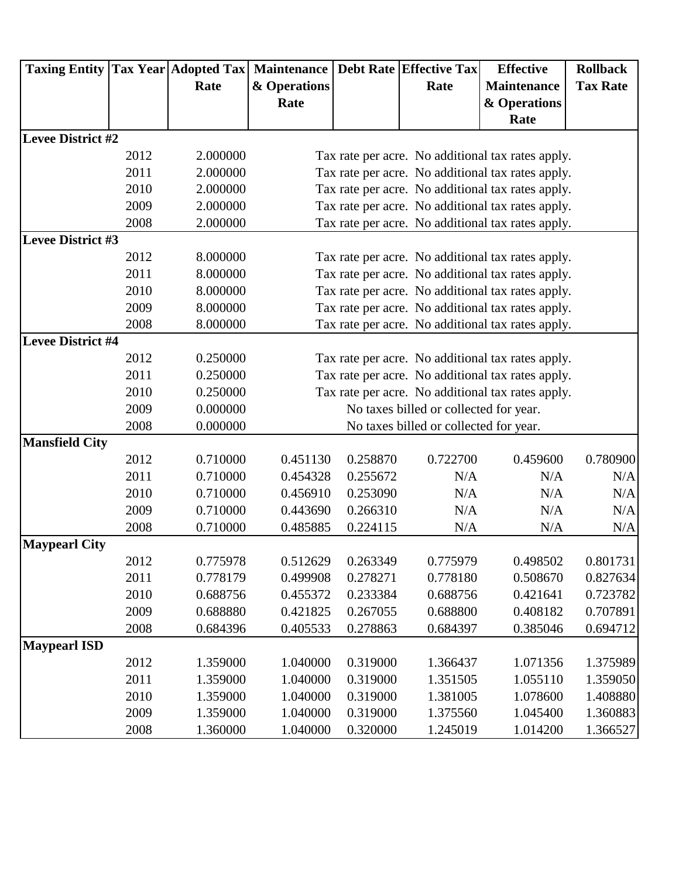|                          |      |          | Taxing Entity   Tax Year   Adopted Tax   Maintenance   Debt Rate   Effective Tax |          |                                        | <b>Effective</b>                                  | <b>Rollback</b> |
|--------------------------|------|----------|----------------------------------------------------------------------------------|----------|----------------------------------------|---------------------------------------------------|-----------------|
|                          |      | Rate     | & Operations                                                                     |          | Rate                                   | <b>Maintenance</b>                                | <b>Tax Rate</b> |
|                          |      |          | Rate                                                                             |          |                                        | & Operations                                      |                 |
|                          |      |          |                                                                                  |          |                                        | Rate                                              |                 |
| <b>Levee District #2</b> |      |          |                                                                                  |          |                                        |                                                   |                 |
|                          | 2012 | 2.000000 |                                                                                  |          |                                        | Tax rate per acre. No additional tax rates apply. |                 |
|                          | 2011 | 2.000000 |                                                                                  |          |                                        | Tax rate per acre. No additional tax rates apply. |                 |
|                          | 2010 | 2.000000 |                                                                                  |          |                                        | Tax rate per acre. No additional tax rates apply. |                 |
|                          | 2009 | 2.000000 |                                                                                  |          |                                        | Tax rate per acre. No additional tax rates apply. |                 |
|                          | 2008 | 2.000000 |                                                                                  |          |                                        | Tax rate per acre. No additional tax rates apply. |                 |
| <b>Levee District #3</b> |      |          |                                                                                  |          |                                        |                                                   |                 |
|                          | 2012 | 8.000000 |                                                                                  |          |                                        | Tax rate per acre. No additional tax rates apply. |                 |
|                          | 2011 | 8.000000 |                                                                                  |          |                                        | Tax rate per acre. No additional tax rates apply. |                 |
|                          | 2010 | 8.000000 |                                                                                  |          |                                        | Tax rate per acre. No additional tax rates apply. |                 |
|                          | 2009 | 8.000000 |                                                                                  |          |                                        | Tax rate per acre. No additional tax rates apply. |                 |
|                          | 2008 | 8.000000 |                                                                                  |          |                                        | Tax rate per acre. No additional tax rates apply. |                 |
| <b>Levee District #4</b> |      |          |                                                                                  |          |                                        |                                                   |                 |
|                          | 2012 | 0.250000 |                                                                                  |          |                                        | Tax rate per acre. No additional tax rates apply. |                 |
|                          | 2011 | 0.250000 |                                                                                  |          |                                        | Tax rate per acre. No additional tax rates apply. |                 |
|                          | 2010 | 0.250000 |                                                                                  |          |                                        | Tax rate per acre. No additional tax rates apply. |                 |
|                          | 2009 | 0.000000 |                                                                                  |          | No taxes billed or collected for year. |                                                   |                 |
|                          | 2008 | 0.000000 |                                                                                  |          | No taxes billed or collected for year. |                                                   |                 |
| <b>Mansfield City</b>    |      |          |                                                                                  |          |                                        |                                                   |                 |
|                          | 2012 | 0.710000 | 0.451130                                                                         | 0.258870 | 0.722700                               | 0.459600                                          | 0.780900        |
|                          | 2011 | 0.710000 | 0.454328                                                                         | 0.255672 | N/A                                    | N/A                                               | N/A             |
|                          | 2010 | 0.710000 | 0.456910                                                                         | 0.253090 | N/A                                    | N/A                                               | N/A             |
|                          | 2009 | 0.710000 | 0.443690                                                                         | 0.266310 | N/A                                    | N/A                                               | N/A             |
|                          | 2008 | 0.710000 | 0.485885                                                                         | 0.224115 | N/A                                    | N/A                                               | N/A             |
| <b>Maypearl City</b>     |      |          |                                                                                  |          |                                        |                                                   |                 |
|                          | 2012 | 0.775978 | 0.512629                                                                         | 0.263349 | 0.775979                               | 0.498502                                          | 0.801731        |
|                          | 2011 | 0.778179 | 0.499908                                                                         | 0.278271 | 0.778180                               | 0.508670                                          | 0.827634        |
|                          | 2010 | 0.688756 | 0.455372                                                                         | 0.233384 | 0.688756                               | 0.421641                                          | 0.723782        |
|                          | 2009 | 0.688880 | 0.421825                                                                         | 0.267055 | 0.688800                               | 0.408182                                          | 0.707891        |
|                          | 2008 | 0.684396 | 0.405533                                                                         | 0.278863 | 0.684397                               | 0.385046                                          | 0.694712        |
| <b>Maypearl ISD</b>      |      |          |                                                                                  |          |                                        |                                                   |                 |
|                          | 2012 | 1.359000 | 1.040000                                                                         | 0.319000 | 1.366437                               | 1.071356                                          | 1.375989        |
|                          | 2011 | 1.359000 | 1.040000                                                                         | 0.319000 | 1.351505                               | 1.055110                                          | 1.359050        |
|                          | 2010 | 1.359000 | 1.040000                                                                         | 0.319000 | 1.381005                               | 1.078600                                          | 1.408880        |
|                          | 2009 | 1.359000 | 1.040000                                                                         | 0.319000 | 1.375560                               | 1.045400                                          | 1.360883        |
|                          | 2008 | 1.360000 | 1.040000                                                                         | 0.320000 | 1.245019                               | 1.014200                                          | 1.366527        |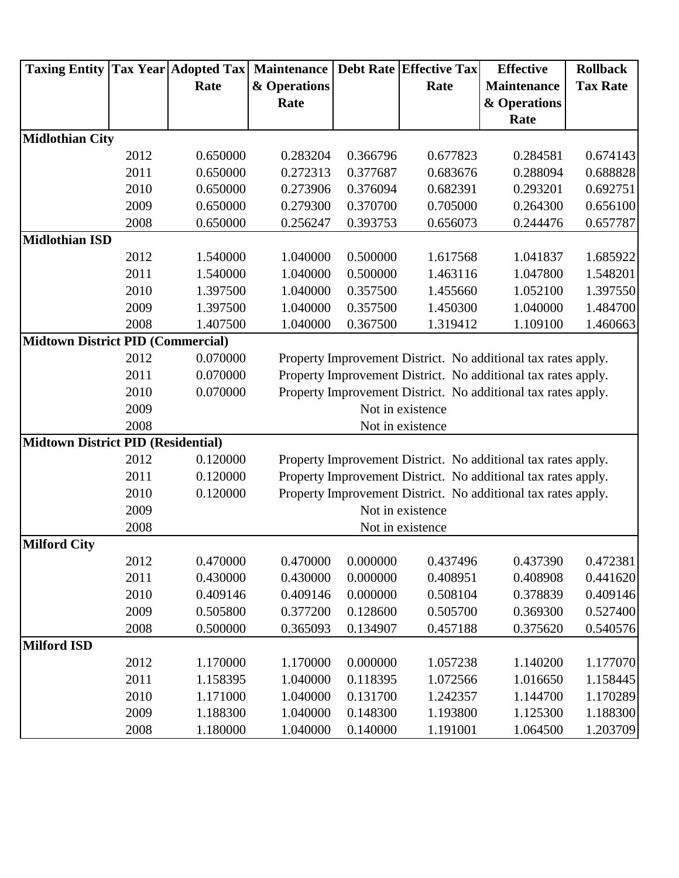| <b>Taxing Entity</b>                     |      |          | Tax Year Adopted Tax  Maintenance   Debt Rate   Effective Tax |          |                  | <b>Effective</b>                                              | <b>Rollback</b> |  |  |  |
|------------------------------------------|------|----------|---------------------------------------------------------------|----------|------------------|---------------------------------------------------------------|-----------------|--|--|--|
|                                          |      | Rate     | & Operations                                                  |          | Rate             | <b>Maintenance</b>                                            | <b>Tax Rate</b> |  |  |  |
|                                          |      |          | Rate                                                          |          |                  | & Operations                                                  |                 |  |  |  |
|                                          |      |          |                                                               |          |                  | Rate                                                          |                 |  |  |  |
| <b>Midlothian City</b>                   |      |          |                                                               |          |                  |                                                               |                 |  |  |  |
|                                          | 2012 | 0.650000 | 0.283204                                                      | 0.366796 | 0.677823         | 0.284581                                                      | 0.674143        |  |  |  |
|                                          | 2011 | 0.650000 | 0.272313                                                      | 0.377687 | 0.683676         | 0.288094                                                      | 0.688828        |  |  |  |
|                                          | 2010 | 0.650000 | 0.273906                                                      | 0.376094 | 0.682391         | 0.293201                                                      | 0.692751        |  |  |  |
|                                          | 2009 | 0.650000 | 0.279300                                                      | 0.370700 | 0.705000         | 0.264300                                                      | 0.656100        |  |  |  |
|                                          | 2008 | 0.650000 | 0.256247                                                      | 0.393753 | 0.656073         | 0.244476                                                      | 0.657787        |  |  |  |
| <b>Midlothian ISD</b>                    |      |          |                                                               |          |                  |                                                               |                 |  |  |  |
|                                          | 2012 | 1.540000 | 1.040000                                                      | 0.500000 | 1.617568         | 1.041837                                                      | 1.685922        |  |  |  |
|                                          | 2011 | 1.540000 | 1.040000                                                      | 0.500000 | 1.463116         | 1.047800                                                      | 1.548201        |  |  |  |
|                                          | 2010 | 1.397500 | 1.040000                                                      | 0.357500 | 1.455660         | 1.052100                                                      | 1.397550        |  |  |  |
|                                          | 2009 | 1.397500 | 1.040000                                                      | 0.357500 | 1.450300         | 1.040000                                                      | 1.484700        |  |  |  |
|                                          | 2008 | 1.407500 | 1.040000                                                      | 0.367500 | 1.319412         | 1.109100                                                      | 1.460663        |  |  |  |
| <b>Midtown District PID (Commercial)</b> |      |          |                                                               |          |                  |                                                               |                 |  |  |  |
|                                          | 2012 | 0.070000 |                                                               |          |                  | Property Improvement District. No additional tax rates apply. |                 |  |  |  |
|                                          | 2011 | 0.070000 |                                                               |          |                  | Property Improvement District. No additional tax rates apply. |                 |  |  |  |
|                                          | 2010 | 0.070000 |                                                               |          |                  | Property Improvement District. No additional tax rates apply. |                 |  |  |  |
|                                          | 2009 |          |                                                               |          | Not in existence |                                                               |                 |  |  |  |
|                                          | 2008 |          |                                                               |          | Not in existence |                                                               |                 |  |  |  |
| Midtown District PID (Residential)       |      |          |                                                               |          |                  |                                                               |                 |  |  |  |
|                                          | 2012 | 0.120000 |                                                               |          |                  | Property Improvement District. No additional tax rates apply. |                 |  |  |  |
|                                          | 2011 | 0.120000 |                                                               |          |                  | Property Improvement District. No additional tax rates apply. |                 |  |  |  |
|                                          | 2010 | 0.120000 |                                                               |          |                  | Property Improvement District. No additional tax rates apply. |                 |  |  |  |
|                                          | 2009 |          |                                                               |          | Not in existence |                                                               |                 |  |  |  |
|                                          | 2008 |          |                                                               |          | Not in existence |                                                               |                 |  |  |  |
| <b>Milford City</b>                      |      |          |                                                               |          |                  |                                                               |                 |  |  |  |
|                                          | 2012 | 0.470000 | 0.470000                                                      | 0.000000 | 0.437496         | 0.437390                                                      | 0.472381        |  |  |  |
|                                          | 2011 | 0.430000 | 0.430000                                                      | 0.000000 | 0.408951         | 0.408908                                                      | 0.441620        |  |  |  |
|                                          | 2010 | 0.409146 | 0.409146                                                      | 0.000000 | 0.508104         | 0.378839                                                      | 0.409146        |  |  |  |
|                                          | 2009 | 0.505800 | 0.377200                                                      | 0.128600 | 0.505700         | 0.369300                                                      | 0.527400        |  |  |  |
|                                          | 2008 | 0.500000 | 0.365093                                                      | 0.134907 | 0.457188         | 0.375620                                                      | 0.540576        |  |  |  |
| <b>Milford ISD</b>                       |      |          |                                                               |          |                  |                                                               |                 |  |  |  |
|                                          | 2012 | 1.170000 | 1.170000                                                      | 0.000000 | 1.057238         | 1.140200                                                      | 1.177070        |  |  |  |
|                                          | 2011 | 1.158395 | 1.040000                                                      | 0.118395 | 1.072566         | 1.016650                                                      | 1.158445        |  |  |  |
|                                          | 2010 | 1.171000 | 1.040000                                                      | 0.131700 | 1.242357         | 1.144700                                                      | 1.170289        |  |  |  |
|                                          | 2009 | 1.188300 | 1.040000                                                      | 0.148300 | 1.193800         | 1.125300                                                      | 1.188300        |  |  |  |
|                                          | 2008 | 1.180000 | 1.040000                                                      | 0.140000 | 1.191001         | 1.064500                                                      | 1.203709        |  |  |  |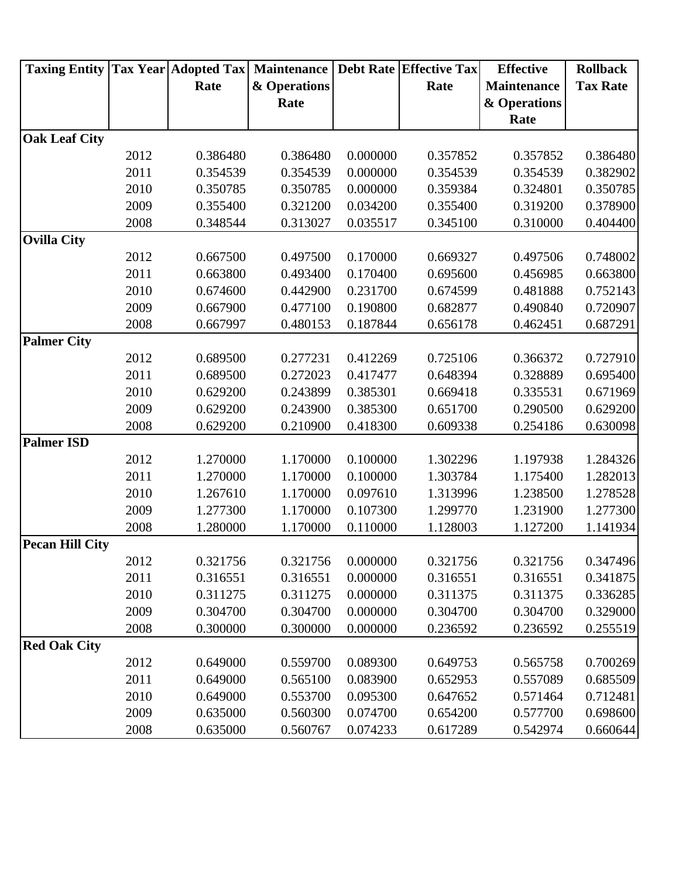| <b>Taxing Entity</b>   |      |          | <b>Tax Year Adopted Tax Maintenance</b> |          | <b>Debt Rate Effective Tax</b> | <b>Effective</b>   | <b>Rollback</b> |
|------------------------|------|----------|-----------------------------------------|----------|--------------------------------|--------------------|-----------------|
|                        |      | Rate     | & Operations                            |          | Rate                           | <b>Maintenance</b> | <b>Tax Rate</b> |
|                        |      |          | Rate                                    |          |                                | & Operations       |                 |
|                        |      |          |                                         |          |                                | Rate               |                 |
| <b>Oak Leaf City</b>   |      |          |                                         |          |                                |                    |                 |
|                        | 2012 | 0.386480 | 0.386480                                | 0.000000 | 0.357852                       | 0.357852           | 0.386480        |
|                        | 2011 | 0.354539 | 0.354539                                | 0.000000 | 0.354539                       | 0.354539           | 0.382902        |
|                        | 2010 | 0.350785 | 0.350785                                | 0.000000 | 0.359384                       | 0.324801           | 0.350785        |
|                        | 2009 | 0.355400 | 0.321200                                | 0.034200 | 0.355400                       | 0.319200           | 0.378900        |
|                        | 2008 | 0.348544 | 0.313027                                | 0.035517 | 0.345100                       | 0.310000           | 0.404400        |
| <b>Ovilla City</b>     |      |          |                                         |          |                                |                    |                 |
|                        | 2012 | 0.667500 | 0.497500                                | 0.170000 | 0.669327                       | 0.497506           | 0.748002        |
|                        | 2011 | 0.663800 | 0.493400                                | 0.170400 | 0.695600                       | 0.456985           | 0.663800        |
|                        | 2010 | 0.674600 | 0.442900                                | 0.231700 | 0.674599                       | 0.481888           | 0.752143        |
|                        | 2009 | 0.667900 | 0.477100                                | 0.190800 | 0.682877                       | 0.490840           | 0.720907        |
|                        | 2008 | 0.667997 | 0.480153                                | 0.187844 | 0.656178                       | 0.462451           | 0.687291        |
| <b>Palmer City</b>     |      |          |                                         |          |                                |                    |                 |
|                        | 2012 | 0.689500 | 0.277231                                | 0.412269 | 0.725106                       | 0.366372           | 0.727910        |
|                        | 2011 | 0.689500 | 0.272023                                | 0.417477 | 0.648394                       | 0.328889           | 0.695400        |
|                        | 2010 | 0.629200 | 0.243899                                | 0.385301 | 0.669418                       | 0.335531           | 0.671969        |
|                        | 2009 | 0.629200 | 0.243900                                | 0.385300 | 0.651700                       | 0.290500           | 0.629200        |
|                        | 2008 | 0.629200 | 0.210900                                | 0.418300 | 0.609338                       | 0.254186           | 0.630098        |
| <b>Palmer ISD</b>      |      |          |                                         |          |                                |                    |                 |
|                        | 2012 | 1.270000 | 1.170000                                | 0.100000 | 1.302296                       | 1.197938           | 1.284326        |
|                        | 2011 | 1.270000 | 1.170000                                | 0.100000 | 1.303784                       | 1.175400           | 1.282013        |
|                        | 2010 | 1.267610 | 1.170000                                | 0.097610 | 1.313996                       | 1.238500           | 1.278528        |
|                        | 2009 | 1.277300 | 1.170000                                | 0.107300 | 1.299770                       | 1.231900           | 1.277300        |
|                        | 2008 | 1.280000 | 1.170000                                | 0.110000 | 1.128003                       | 1.127200           | 1.141934        |
| <b>Pecan Hill City</b> |      |          |                                         |          |                                |                    |                 |
|                        | 2012 | 0.321756 | 0.321756                                | 0.000000 | 0.321756                       | 0.321756           | 0.347496        |
|                        | 2011 | 0.316551 | 0.316551                                | 0.000000 | 0.316551                       | 0.316551           | 0.341875        |
|                        | 2010 | 0.311275 | 0.311275                                | 0.000000 | 0.311375                       | 0.311375           | 0.336285        |
|                        | 2009 | 0.304700 | 0.304700                                | 0.000000 | 0.304700                       | 0.304700           | 0.329000        |
|                        | 2008 | 0.300000 | 0.300000                                | 0.000000 | 0.236592                       | 0.236592           | 0.255519        |
| <b>Red Oak City</b>    |      |          |                                         |          |                                |                    |                 |
|                        | 2012 | 0.649000 | 0.559700                                | 0.089300 | 0.649753                       | 0.565758           | 0.700269        |
|                        | 2011 | 0.649000 | 0.565100                                | 0.083900 | 0.652953                       | 0.557089           | 0.685509        |
|                        | 2010 | 0.649000 | 0.553700                                | 0.095300 | 0.647652                       | 0.571464           | 0.712481        |
|                        | 2009 | 0.635000 | 0.560300                                | 0.074700 | 0.654200                       | 0.577700           | 0.698600        |
|                        | 2008 | 0.635000 | 0.560767                                | 0.074233 | 0.617289                       | 0.542974           | 0.660644        |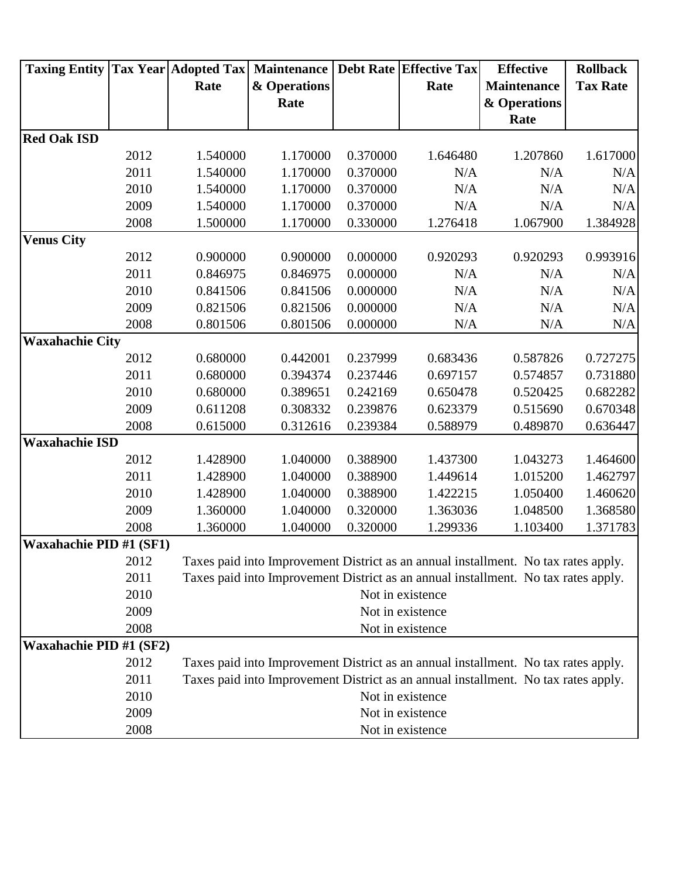| <b>Taxing Entity</b>           |      |          | <b>Tax Year Adopted Tax Maintenance</b> |          | <b>Debt Rate Effective Tax</b> | <b>Effective</b>                                                                   | <b>Rollback</b> |
|--------------------------------|------|----------|-----------------------------------------|----------|--------------------------------|------------------------------------------------------------------------------------|-----------------|
|                                |      | Rate     | & Operations                            |          | Rate                           | <b>Maintenance</b>                                                                 | <b>Tax Rate</b> |
|                                |      |          | Rate                                    |          |                                | & Operations                                                                       |                 |
|                                |      |          |                                         |          |                                | Rate                                                                               |                 |
| <b>Red Oak ISD</b>             |      |          |                                         |          |                                |                                                                                    |                 |
|                                | 2012 | 1.540000 | 1.170000                                | 0.370000 | 1.646480                       | 1.207860                                                                           | 1.617000        |
|                                | 2011 | 1.540000 | 1.170000                                | 0.370000 | N/A                            | N/A                                                                                | N/A             |
|                                | 2010 | 1.540000 | 1.170000                                | 0.370000 | N/A                            | N/A                                                                                | N/A             |
|                                | 2009 | 1.540000 | 1.170000                                | 0.370000 | N/A                            | N/A                                                                                | N/A             |
|                                | 2008 | 1.500000 | 1.170000                                | 0.330000 | 1.276418                       | 1.067900                                                                           | 1.384928        |
| <b>Venus City</b>              |      |          |                                         |          |                                |                                                                                    |                 |
|                                | 2012 | 0.900000 | 0.900000                                | 0.000000 | 0.920293                       | 0.920293                                                                           | 0.993916        |
|                                | 2011 | 0.846975 | 0.846975                                | 0.000000 | N/A                            | N/A                                                                                | N/A             |
|                                | 2010 | 0.841506 | 0.841506                                | 0.000000 | N/A                            | N/A                                                                                | N/A             |
|                                | 2009 | 0.821506 | 0.821506                                | 0.000000 | N/A                            | N/A                                                                                | N/A             |
|                                | 2008 | 0.801506 | 0.801506                                | 0.000000 | N/A                            | N/A                                                                                | N/A             |
| <b>Waxahachie City</b>         |      |          |                                         |          |                                |                                                                                    |                 |
|                                | 2012 | 0.680000 | 0.442001                                | 0.237999 | 0.683436                       | 0.587826                                                                           | 0.727275        |
|                                | 2011 | 0.680000 | 0.394374                                | 0.237446 | 0.697157                       | 0.574857                                                                           | 0.731880        |
|                                | 2010 | 0.680000 | 0.389651                                | 0.242169 | 0.650478                       | 0.520425                                                                           | 0.682282        |
|                                | 2009 | 0.611208 | 0.308332                                | 0.239876 | 0.623379                       | 0.515690                                                                           | 0.670348        |
|                                | 2008 | 0.615000 | 0.312616                                | 0.239384 | 0.588979                       | 0.489870                                                                           | 0.636447        |
| <b>Waxahachie ISD</b>          |      |          |                                         |          |                                |                                                                                    |                 |
|                                | 2012 | 1.428900 | 1.040000                                | 0.388900 | 1.437300                       | 1.043273                                                                           | 1.464600        |
|                                | 2011 | 1.428900 | 1.040000                                | 0.388900 | 1.449614                       | 1.015200                                                                           | 1.462797        |
|                                | 2010 | 1.428900 | 1.040000                                | 0.388900 | 1.422215                       | 1.050400                                                                           | 1.460620        |
|                                | 2009 | 1.360000 | 1.040000                                | 0.320000 | 1.363036                       | 1.048500                                                                           | 1.368580        |
|                                | 2008 | 1.360000 | 1.040000                                | 0.320000 | 1.299336                       | 1.103400                                                                           | 1.371783        |
| <b>Waxahachie PID #1 (SF1)</b> |      |          |                                         |          |                                |                                                                                    |                 |
|                                | 2012 |          |                                         |          |                                | Taxes paid into Improvement District as an annual installment. No tax rates apply. |                 |
|                                | 2011 |          |                                         |          |                                | Taxes paid into Improvement District as an annual installment. No tax rates apply. |                 |
|                                | 2010 |          |                                         |          | Not in existence               |                                                                                    |                 |
|                                | 2009 |          |                                         |          | Not in existence               |                                                                                    |                 |
|                                | 2008 |          |                                         |          | Not in existence               |                                                                                    |                 |
| <b>Waxahachie PID #1 (SF2)</b> |      |          |                                         |          |                                |                                                                                    |                 |
|                                | 2012 |          |                                         |          |                                | Taxes paid into Improvement District as an annual installment. No tax rates apply. |                 |
|                                | 2011 |          |                                         |          |                                | Taxes paid into Improvement District as an annual installment. No tax rates apply. |                 |
|                                | 2010 |          |                                         |          | Not in existence               |                                                                                    |                 |
|                                | 2009 |          |                                         |          | Not in existence               |                                                                                    |                 |
|                                | 2008 |          |                                         |          | Not in existence               |                                                                                    |                 |